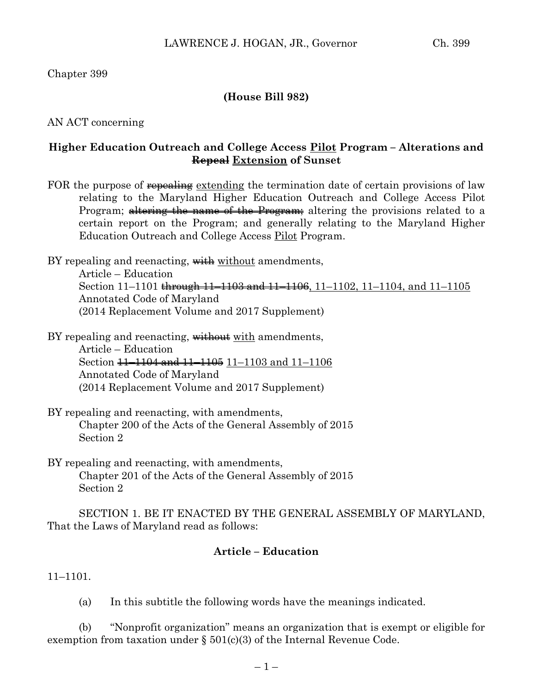Chapter 399

# **(House Bill 982)**

AN ACT concerning

### **Higher Education Outreach and College Access Pilot Program – Alterations and Repeal Extension of Sunset**

FOR the purpose of repealing extending the termination date of certain provisions of law relating to the Maryland Higher Education Outreach and College Access Pilot Program; altering the name of the Program; altering the provisions related to a certain report on the Program; and generally relating to the Maryland Higher Education Outreach and College Access Pilot Program.

BY repealing and reenacting, with without amendments, Article – Education Section 11–1101 through 11–1103 and 11–1106, 11–1102, 11–1104, and 11–1105 Annotated Code of Maryland (2014 Replacement Volume and 2017 Supplement)

BY repealing and reenacting, without with amendments, Article – Education Section 11–1104 and 11–1105 11–1103 and 11–1106 Annotated Code of Maryland (2014 Replacement Volume and 2017 Supplement)

BY repealing and reenacting, with amendments, Chapter 200 of the Acts of the General Assembly of 2015 Section 2

BY repealing and reenacting, with amendments, Chapter 201 of the Acts of the General Assembly of 2015 Section 2

SECTION 1. BE IT ENACTED BY THE GENERAL ASSEMBLY OF MARYLAND, That the Laws of Maryland read as follows:

# **Article – Education**

11–1101.

(a) In this subtitle the following words have the meanings indicated.

(b) "Nonprofit organization" means an organization that is exempt or eligible for exemption from taxation under  $\S 501(c)(3)$  of the Internal Revenue Code.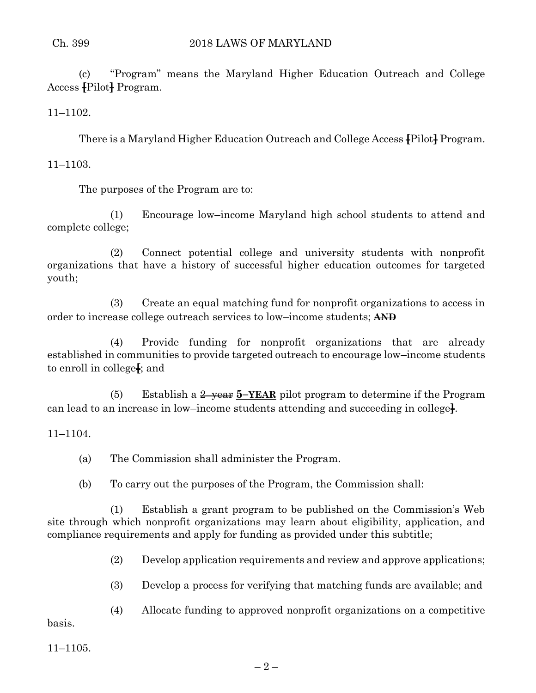(c) "Program" means the Maryland Higher Education Outreach and College Access **[**Pilot**]** Program.

11–1102.

There is a Maryland Higher Education Outreach and College Access **[**Pilot**]** Program.

11–1103.

The purposes of the Program are to:

(1) Encourage low–income Maryland high school students to attend and complete college;

(2) Connect potential college and university students with nonprofit organizations that have a history of successful higher education outcomes for targeted youth;

(3) Create an equal matching fund for nonprofit organizations to access in order to increase college outreach services to low–income students; **AND**

(4) Provide funding for nonprofit organizations that are already established in communities to provide targeted outreach to encourage low–income students to enroll in college**[**; and

(5) Establish a 2–year **5–YEAR** pilot program to determine if the Program can lead to an increase in low–income students attending and succeeding in college**]**.

11–1104.

(a) The Commission shall administer the Program.

(b) To carry out the purposes of the Program, the Commission shall:

(1) Establish a grant program to be published on the Commission's Web site through which nonprofit organizations may learn about eligibility, application, and compliance requirements and apply for funding as provided under this subtitle;

(2) Develop application requirements and review and approve applications;

(3) Develop a process for verifying that matching funds are available; and

(4) Allocate funding to approved nonprofit organizations on a competitive

basis.

11–1105.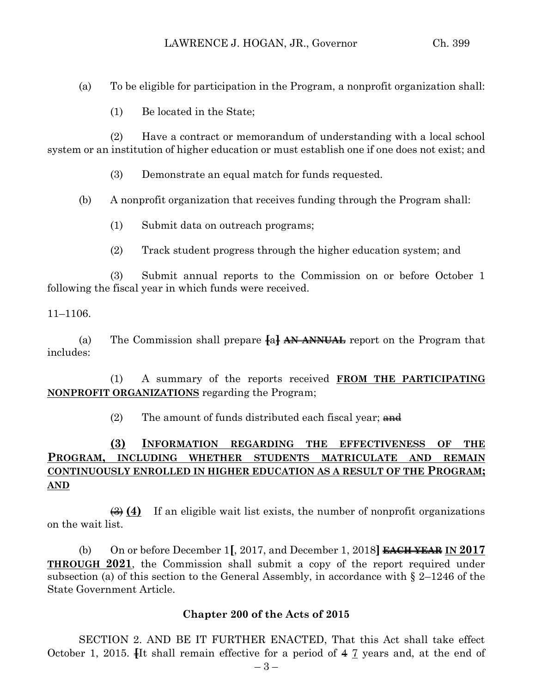(a) To be eligible for participation in the Program, a nonprofit organization shall:

(1) Be located in the State;

(2) Have a contract or memorandum of understanding with a local school system or an institution of higher education or must establish one if one does not exist; and

(3) Demonstrate an equal match for funds requested.

(b) A nonprofit organization that receives funding through the Program shall:

- (1) Submit data on outreach programs;
- (2) Track student progress through the higher education system; and

(3) Submit annual reports to the Commission on or before October 1 following the fiscal year in which funds were received.

11–1106.

(a) The Commission shall prepare **[**a**] AN ANNUAL** report on the Program that includes:

(1) A summary of the reports received **FROM THE PARTICIPATING NONPROFIT ORGANIZATIONS** regarding the Program;

(2) The amount of funds distributed each fiscal year;  $\theta$  and

# **(3) INFORMATION REGARDING THE EFFECTIVENESS OF THE PROGRAM, INCLUDING WHETHER STUDENTS MATRICULATE AND REMAIN CONTINUOUSLY ENROLLED IN HIGHER EDUCATION AS A RESULT OF THE PROGRAM; AND**

(3) **(4)** If an eligible wait list exists, the number of nonprofit organizations on the wait list.

(b) On or before December 1**[**, 2017, and December 1, 2018**] EACH YEAR IN 2017 THROUGH 2021**, the Commission shall submit a copy of the report required under subsection (a) of this section to the General Assembly, in accordance with § 2–1246 of the State Government Article.

### **Chapter 200 of the Acts of 2015**

SECTION 2. AND BE IT FURTHER ENACTED, That this Act shall take effect October 1, 2015. **[**It shall remain effective for a period of 4 7 years and, at the end of